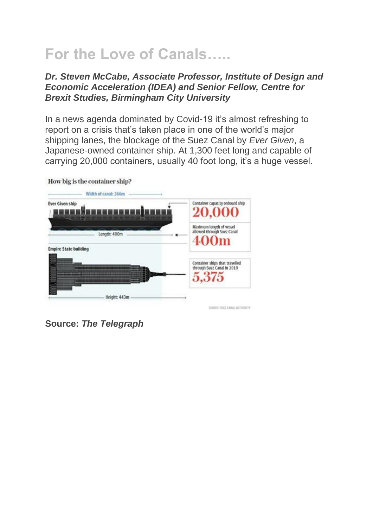## **For the Love of Canals…..**

## *Dr. Steven McCabe, Associate Professor, Institute of Design and Economic Acceleration (IDEA) and Senior Fellow, Centre for Brexit Studies, Birmingham City University*

In a news agenda dominated by Covid-19 it's almost refreshing to report on a crisis that's taken place in one of the world's major shipping lanes, the blockage of the Suez Canal by *Ever Given*, a Japanese-owned container ship. At 1,300 feet long and capable of carrying 20,000 containers, usually 40 foot long, it's a huge vessel.



How big is the container ship?

**Source:** *The Telegraph*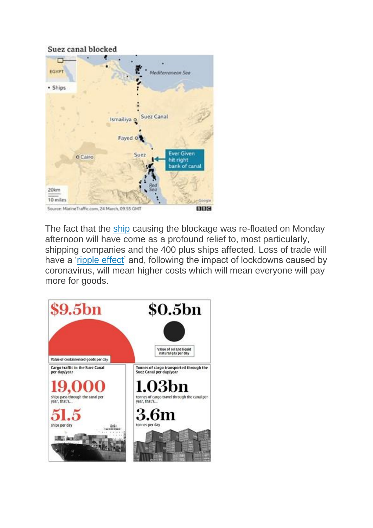## Suez canal blocked



The fact that the [ship](https://www.dailymail.co.uk/news/article-9413209/Ever-Given-FREED-Suez-Canal-ditch-attempt-using-supermoon-king-tide.html) causing the blockage was re-floated on Monday afternoon will have come as a profound relief to, most particularly, shipping companies and the 400 plus ships affected. Loss of trade will have a ['ripple effect'](https://www.theguardian.com/world/2021/mar/29/ikea-furniture-tea-and-french-oak-goods-held-up-by-suez-canal-blockage) and, following the impact of lockdowns caused by coronavirus, will mean higher costs which will mean everyone will pay more for goods.

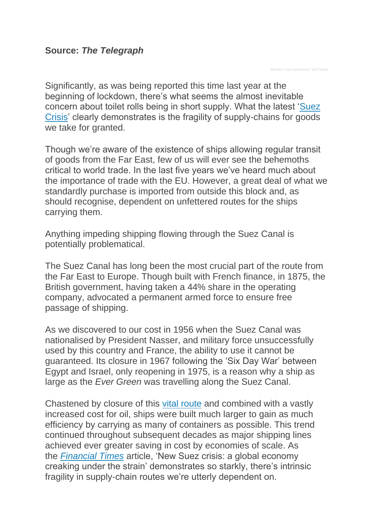REPORT THIS ADPRIVACY SETTINGS

Significantly, as was being reported this time last year at the beginning of lockdown, there's what seems the almost inevitable concern about toilet rolls being in short supply. What the latest ['Suez](https://www.mirror.co.uk/news/world-news/suez-canal-crisis-threatens-global-23797102)  [Crisis'](https://www.mirror.co.uk/news/world-news/suez-canal-crisis-threatens-global-23797102) clearly demonstrates is the fragility of supply-chains for goods we take for granted.

Though we're aware of the existence of ships allowing regular transit of goods from the Far East, few of us will ever see the behemoths critical to world trade. In the last five years we've heard much about the importance of trade with the EU. However, a great deal of what we standardly purchase is imported from outside this block and, as should recognise, dependent on unfettered routes for the ships carrying them.

Anything impeding shipping flowing through the Suez Canal is potentially problematical.

The Suez Canal has long been the most crucial part of the route from the Far East to Europe. Though built with French finance, in 1875, the British government, having taken a 44% share in the operating company, advocated a permanent armed force to ensure free passage of shipping.

As we discovered to our cost in 1956 when the Suez Canal was nationalised by President Nasser, and military force unsuccessfully used by this country and France, the ability to use it cannot be guaranteed. Its closure in 1967 following the 'Six Day War' between Egypt and Israel, only reopening in 1975, is a reason why a ship as large as the *Ever Green* was travelling along the Suez Canal.

Chastened by closure of this [vital route](https://thegamming.org/2014/08/31/how-the-closure-of-the-suez-canal-changed-the-world/) and combined with a vastly increased cost for oil, ships were built much larger to gain as much efficiency by carrying as many of containers as possible. This trend continued throughout subsequent decades as major shipping lines achieved ever greater saving in cost by economies of scale. As the *[Financial Times](https://www.ft.com/content/87cb4674-6db7-41cf-a82e-44b83eaa436c)* article, 'New Suez crisis: a global economy creaking under the strain' demonstrates so starkly, there's intrinsic fragility in supply-chain routes we're utterly dependent on.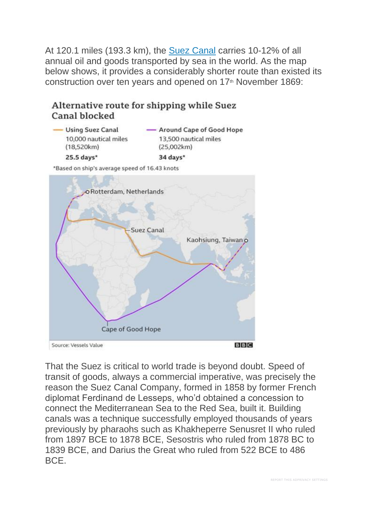At 120.1 miles (193.3 km), the [Suez Canal](https://www.history.com/this-day-in-history/suez-canal-opens) carries 10-12% of all annual oil and goods transported by sea in the world. As the map below shows, it provides a considerably shorter route than existed its construction over ten years and opened on 17<sup>th</sup> November 1869:

Alternative route for shipping while Suez Canal blocked

| <b>Using Suez Canal</b><br>10,000 nautical miles | - Around Cape of Good Hope<br>13,500 nautical miles |
|--------------------------------------------------|-----------------------------------------------------|
|                                                  |                                                     |
| 25.5 days*                                       | 34 days*                                            |

\*Based on ship's average speed of 16.43 knots



That the Suez is critical to world trade is beyond doubt. Speed of transit of goods, always a commercial imperative, was precisely the reason the Suez Canal Company, formed in 1858 by former French diplomat Ferdinand de Lesseps, who'd obtained a concession to connect the Mediterranean Sea to the Red Sea, built it. Building canals was a technique successfully employed thousands of years previously by pharaohs such as Khakheperre Senusret II who ruled from 1897 BCE to 1878 BCE, Sesostris who ruled from 1878 BC to 1839 BCE, and Darius the Great who ruled from 522 BCE to 486 BCE.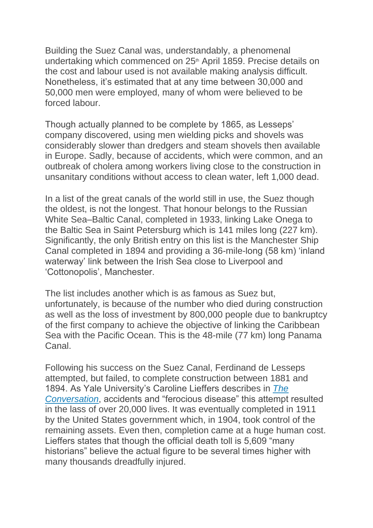Building the Suez Canal was, understandably, a phenomenal undertaking which commenced on 25<sup>th</sup> April 1859. Precise details on the cost and labour used is not available making analysis difficult. Nonetheless, it's estimated that at any time between 30,000 and 50,000 men were employed, many of whom were believed to be forced labour.

Though actually planned to be complete by 1865, as Lesseps' company discovered, using men wielding picks and shovels was considerably slower than dredgers and steam shovels then available in Europe. Sadly, because of accidents, which were common, and an outbreak of cholera among workers living close to the construction in unsanitary conditions without access to clean water, left 1,000 dead.

In a list of the great canals of the world still in use, the Suez though the oldest, is not the longest. That honour belongs to the Russian White Sea–Baltic Canal, completed in 1933, linking Lake Onega to the Baltic Sea in Saint Petersburg which is 141 miles long (227 km). Significantly, the only British entry on this list is the Manchester Ship Canal completed in 1894 and providing a 36-mile-long (58 km) 'inland waterway' link between the Irish Sea close to Liverpool and 'Cottonopolis', Manchester.

The list includes another which is as famous as Suez but, unfortunately, is because of the number who died during construction as well as the loss of investment by 800,000 people due to bankruptcy of the first company to achieve the objective of linking the Caribbean Sea with the Pacific Ocean. This is the 48-mile (77 km) long Panama Canal.

Following his success on the Suez Canal, Ferdinand de Lesseps attempted, but failed, to complete construction between 1881 and 1894. As Yale University's Caroline Lieffers describes in *[The](https://theconversation.com/the-panama-canals-forgotten-casualties-93536)  [Conversation](https://theconversation.com/the-panama-canals-forgotten-casualties-93536)*, accidents and "ferocious disease" this attempt resulted in the lass of over 20,000 lives. It was eventually completed in 1911 by the United States government which, in 1904, took control of the remaining assets. Even then, completion came at a huge human cost. Lieffers states that though the official death toll is 5,609 "many historians" believe the actual figure to be several times higher with many thousands dreadfully injured.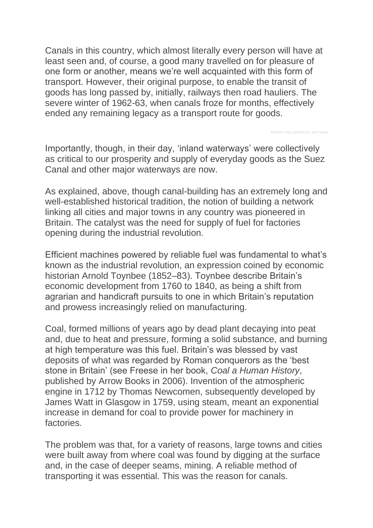Canals in this country, which almost literally every person will have at least seen and, of course, a good many travelled on for pleasure of one form or another, means we're well acquainted with this form of transport. However, their original purpose, to enable the transit of goods has long passed by, initially, railways then road hauliers. The severe winter of 1962-63, when canals froze for months, effectively ended any remaining legacy as a transport route for goods.

Importantly, though, in their day, 'inland waterways' were collectively as critical to our prosperity and supply of everyday goods as the Suez Canal and other major waterways are now.

REPORT THIS ADPRIVACY SETTINGS

As explained, above, though canal-building has an extremely long and well-established historical tradition, the notion of building a network linking all cities and major towns in any country was pioneered in Britain. The catalyst was the need for supply of fuel for factories opening during the industrial revolution.

Efficient machines powered by reliable fuel was fundamental to what's known as the industrial revolution, an expression coined by economic historian Arnold Toynbee (1852–83). Toynbee describe Britain's economic development from 1760 to 1840, as being a shift from agrarian and handicraft pursuits to one in which Britain's reputation and prowess increasingly relied on manufacturing.

Coal, formed millions of years ago by dead plant decaying into peat and, due to heat and pressure, forming a solid substance, and burning at high temperature was this fuel. Britain's was blessed by vast deposits of what was regarded by Roman conquerors as the 'best stone in Britain' (see Freese in her book, *Coal a Human History*, published by Arrow Books in 2006). Invention of the atmospheric engine in 1712 by Thomas Newcomen, subsequently developed by James Watt in Glasgow in 1759, using steam, meant an exponential increase in demand for coal to provide power for machinery in **factories** 

The problem was that, for a variety of reasons, large towns and cities were built away from where coal was found by digging at the surface and, in the case of deeper seams, mining. A reliable method of transporting it was essential. This was the reason for canals.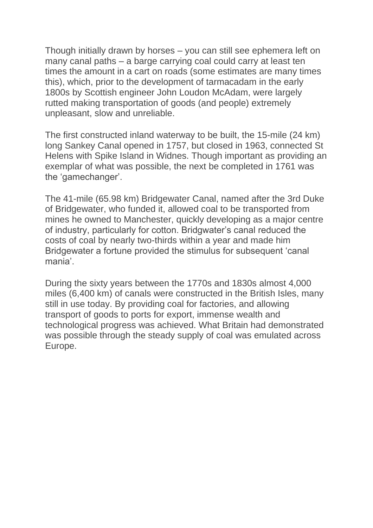Though initially drawn by horses – you can still see ephemera left on many canal paths – a barge carrying coal could carry at least ten times the amount in a cart on roads (some estimates are many times this), which, prior to the development of tarmacadam in the early 1800s by Scottish engineer John Loudon McAdam, were largely rutted making transportation of goods (and people) extremely unpleasant, slow and unreliable.

The first constructed inland waterway to be built, the 15-mile (24 km) long Sankey Canal opened in 1757, but closed in 1963, connected St Helens with Spike Island in Widnes. Though important as providing an exemplar of what was possible, the next be completed in 1761 was the 'gamechanger'.

The 41-mile (65.98 km) Bridgewater Canal, named after the 3rd Duke of Bridgewater, who funded it, allowed coal to be transported from mines he owned to Manchester, quickly developing as a major centre of industry, particularly for cotton. Bridgwater's canal reduced the costs of coal by nearly two-thirds within a year and made him Bridgewater a fortune provided the stimulus for subsequent 'canal mania'.

During the sixty years between the 1770s and 1830s almost 4,000 miles (6,400 km) of canals were constructed in the British Isles, many still in use today. By providing coal for factories, and allowing transport of goods to ports for export, immense wealth and technological progress was achieved. What Britain had demonstrated was possible through the steady supply of coal was emulated across Europe.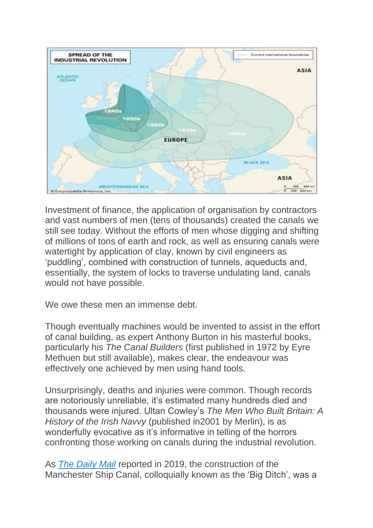

Investment of finance, the application of organisation by contractors and vast numbers of men (tens of thousands) created the canals we still see today. Without the efforts of men whose digging and shifting of millions of tons of earth and rock, as well as ensuring canals were watertight by application of clay, known by civil engineers as 'puddling', combined with construction of tunnels, aqueducts and, essentially, the system of locks to traverse undulating land, canals would not have possible.

We owe these men an immense debt.

Though eventually machines would be invented to assist in the effort of canal building, as expert Anthony Burton in his masterful books, particularly his *The Canal Builders* (first published in 1972 by Eyre Methuen but still available), makes clear, the endeavour was effectively one achieved by men using hand tools.

Unsurprisingly, deaths and injuries were common. Though records are notoriously unreliable, it's estimated many hundreds died and thousands were injured. Ultan Cowley's *The Men Who Built Britain: A History of the Irish Navvy* (published in2001 by Merlin), is as wonderfully evocative as it's informative in telling of the horrors confronting those working on canals during the industrial revolution.

As *[The Daily Mail](https://www.dailymail.co.uk/news/article-6812817/The-Big-Ditch-men-spent-seven-long-years-building-Manchester-Ship-Canal.html)* reported in 2019, the construction of the Manchester Ship Canal, colloquially known as the 'Big Ditch', was a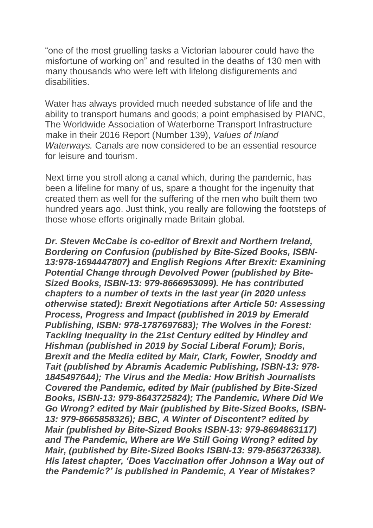"one of the most gruelling tasks a Victorian labourer could have the misfortune of working on" and resulted in the deaths of 130 men with many thousands who were left with lifelong disfigurements and disabilities.

Water has always provided much needed substance of life and the ability to transport humans and goods; a point emphasised by PIANC, The Worldwide Association of Waterborne Transport Infrastructure make in their 2016 Report (Number 139), *Values of Inland Waterways.* Canals are now considered to be an essential resource for leisure and tourism.

Next time you stroll along a canal which, during the pandemic, has been a lifeline for many of us, spare a thought for the ingenuity that created them as well for the suffering of the men who built them two hundred years ago. Just think, you really are following the footsteps of those whose efforts originally made Britain global.

*Dr. Steven McCabe is co-editor of Brexit and Northern Ireland, Bordering on Confusion (published by Bite-Sized Books, ISBN-13:978-1694447807) and English Regions After Brexit: Examining Potential Change through Devolved Power (published by Bite-Sized Books, ISBN-13: 979-8666953099). He has contributed chapters to a number of texts in the last year (in 2020 unless otherwise stated): Brexit Negotiations after Article 50: Assessing Process, Progress and Impact (published in 2019 by Emerald Publishing, ISBN: 978-1787697683); The Wolves in the Forest: Tackling Inequality in the 21st Century edited by Hindley and Hishman (published in 2019 by Social Liberal Forum); Boris, Brexit and the Media edited by Mair, Clark, Fowler, Snoddy and Tait (published by Abramis Academic Publishing, ISBN-13: 978- 1845497644); The Virus and the Media: How British Journalists Covered the Pandemic, edited by Mair (published by Bite-Sized Books, ISBN-13: 979-8643725824); The Pandemic, Where Did We Go Wrong? edited by Mair (published by Bite-Sized Books, ISBN-13: 979-8665858326); BBC, A Winter of Discontent? edited by Mair (published by Bite-Sized Books ISBN-13: 979-8694863117) and The Pandemic, Where are We Still Going Wrong? edited by Mair, (published by Bite-Sized Books ISBN-13: 979-8563726338). His latest chapter, 'Does Vaccination offer Johnson a Way out of the Pandemic?' is published in Pandemic, A Year of Mistakes?*